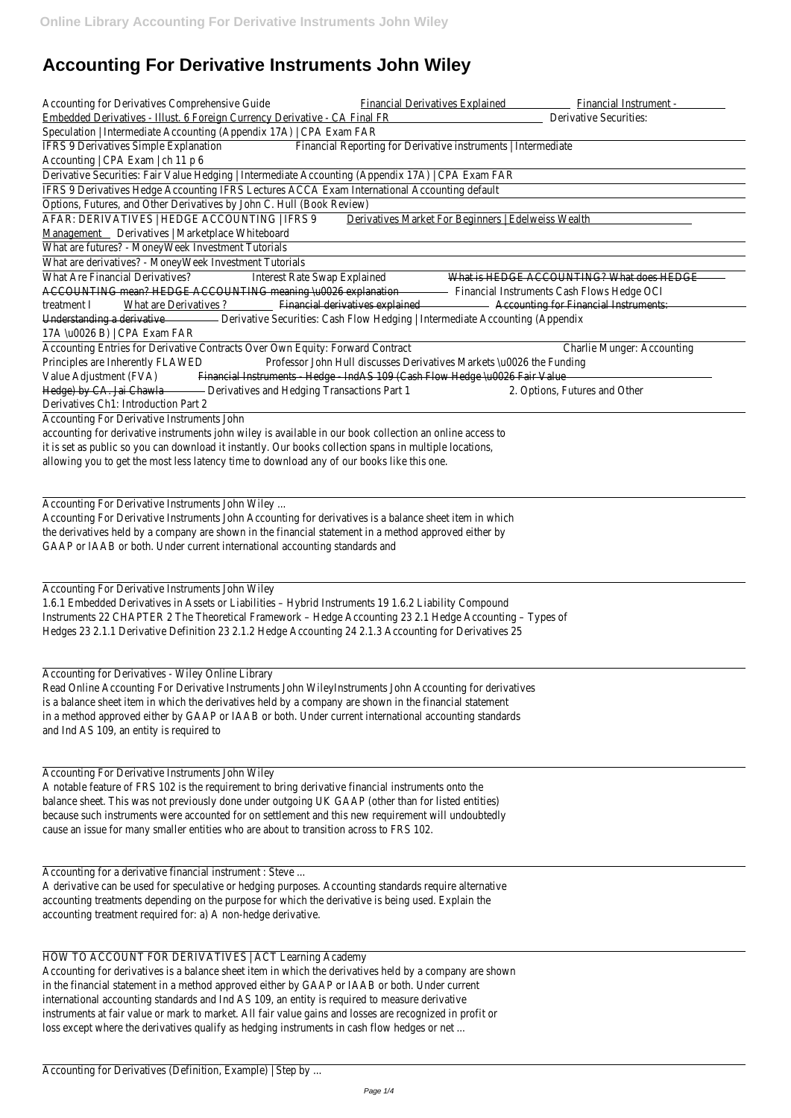# **Accounting For Derivative Instruments John Wiley**

| Accounting for Derivatives Comprehensive Guide<br><b>Financial Derivatives Explained</b><br>Financial Instrument - |
|--------------------------------------------------------------------------------------------------------------------|
| Embedded Derivatives - Illust. 6 Foreign Currency Derivative - CA Final FR<br><b>Derivative Securities:</b>        |
| Speculation   Intermediate Accounting (Appendix 17A)   CPA Exam FAR                                                |
| IFRS 9 Derivatives Simple Explanation<br>Financial Reporting for Derivative instruments   Intermediate             |
| Accounting   CPA Exam   ch 11 p 6                                                                                  |
| Derivative Securities: Fair Value Hedging   Intermediate Accounting (Appendix 17A)   CPA Exam FAR                  |
| IFRS 9 Derivatives Hedge Accounting IFRS Lectures ACCA Exam International Accounting default                       |
| Options, Futures, and Other Derivatives by John C. Hull (Book Review)                                              |
| AFAR: DERIVATIVES   HEDGE ACCOUNTING   IFRS 9<br>Derivatives Market For Beginners   Edelweiss Wealth               |
| Management Derivatives   Marketplace Whiteboard                                                                    |
| What are futures? - MoneyWeek Investment Tutorials                                                                 |
| What are derivatives? - MoneyWeek Investment Tutorials                                                             |
| What Are Financial Derivatives?<br>Interest Rate Swap Explained<br>What is HEDGE ACCOUNTING? What does HEDGE       |
| ACCOUNTING mean? HEDGE ACCOUNTING meaning \u0026 explanation Financial Instruments Cash Flows Hedge OCI            |
| What are Derivatives ? Financial derivatives explained Accounting for Financial Instruments:<br>treatment I        |
| Understanding a derivative <b>Securities: Cash Flow Hedging   Intermediate Accounting (Appendix</b>                |
| 17A \u0026 B)   CPA Exam FAR                                                                                       |
| Accounting Entries for Derivative Contracts Over Own Equity: Forward Contract<br><b>Charlie Munger: Accounting</b> |
| Professor John Hull discusses Derivatives Markets \u0026 the Funding<br>Principles are Inherently FLAWED           |
| Value Adjustment (FVA) Financial Instruments - Hedge - IndAS 109 (Cash Flow Hedge \u0026 Fair Value                |
| Hedge) by CA. Jai Chawla - Derivatives and Hedging Transactions Part 1<br>2. Options, Futures and Other            |
| Derivatives Ch1: Introduction Part 2                                                                               |
| Accounting For Derivative Instruments John                                                                         |
| accounting for derivative instruments john wiley is available in our book collection an online access to           |
| it is set as public so you can download it instantly. Our books collection spans in multiple locations,            |
| allowing you to get the most less latency time to download any of our books like this one.                         |
|                                                                                                                    |
| Accounting For Derivative Instruments John Wiley                                                                   |
| Accounting For Derivative Instruments John Accounting for derivatives is a balance sheet item in which             |
| the derivatives held by a company are shown in the financial statement in a method approved either by              |
| GAAP or IAAB or both. Under current international accounting standards and                                         |
|                                                                                                                    |
|                                                                                                                    |
| Accounting For Derivative Instruments John Wiley                                                                   |
| 1.6.1 Embedded Derivatives in Assets or Liabilities - Hybrid Instruments 19 1.6.2 Liability Compound               |

HOW TO ACCOUNT FOR DERIVATIVES | ACT Learning Academy Accounting for derivatives is a balance sheet item in which the derivatives held by a company are shown in the financial statement in a method approved either by GAAP or IAAB or both. Under current international accounting standards and Ind AS 109, an entity is required to measure derivative instruments at fair value or mark to market. All fair value gains and losses are recognized in profit or loss except where the derivatives qualify as hedging instruments in cash flow hedges or net ...

Instruments 22 CHAPTER 2 The Theoretical Framework – Hedge Accounting 23 2.1 Hedge Accounting – Types of Hedges 23 2.1.1 Derivative Definition 23 2.1.2 Hedge Accounting 24 2.1.3 Accounting for Derivatives 25

## Accounting for Derivatives - Wiley Online Library

Read Online Accounting For Derivative Instruments John WileyInstruments John Accounting for derivatives is a balance sheet item in which the derivatives held by a company are shown in the financial statement in a method approved either by GAAP or IAAB or both. Under current international accounting standards and Ind AS 109, an entity is required to

Accounting For Derivative Instruments John Wiley A notable feature of FRS 102 is the requirement to bring derivative financial instruments onto the balance sheet. This was not previously done under outgoing UK GAAP (other than for listed entities) because such instruments were accounted for on settlement and this new requirement will undoubtedly cause an issue for many smaller entities who are about to transition across to FRS 102.

Accounting for a derivative financial instrument : Steve ...

A derivative can be used for speculative or hedging purposes. Accounting standards require alternative accounting treatments depending on the purpose for which the derivative is being used. Explain the accounting treatment required for: a) A non-hedge derivative.

Accounting for Derivatives (Definition, Example) | Step by ...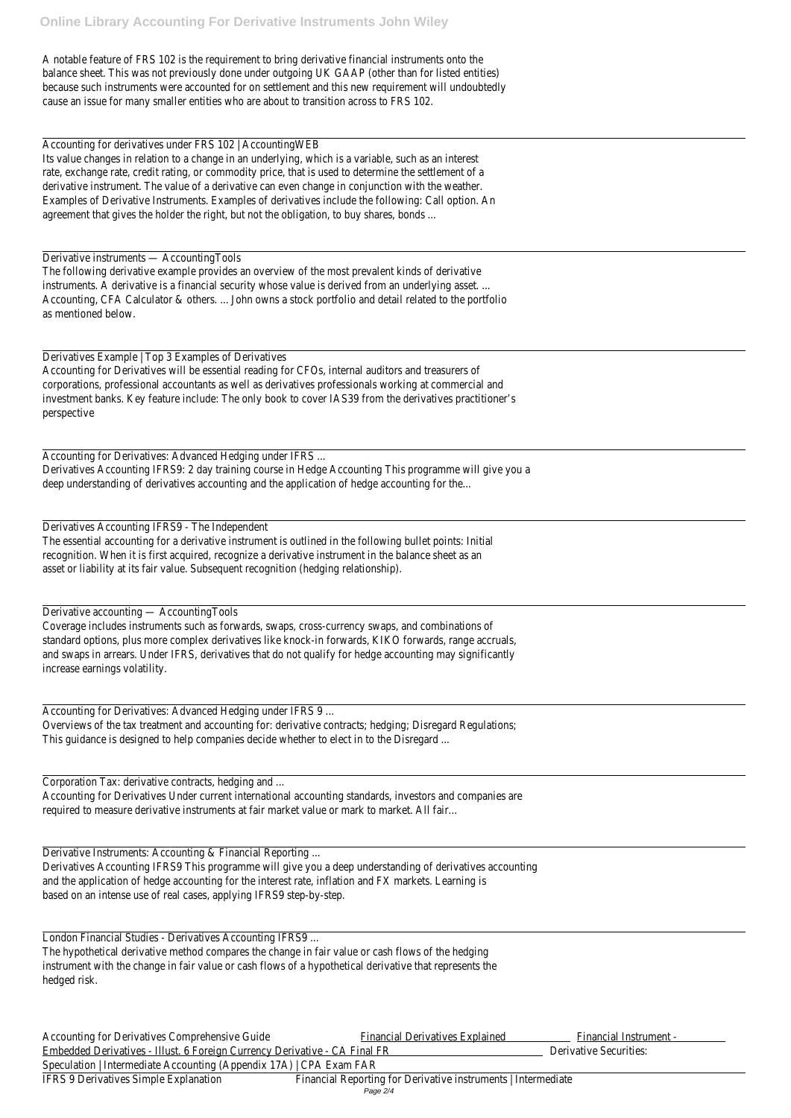Accounting for derivatives under FRS 102 | AccountingWEB Its value changes in relation to a change in an underlying, which is a variable, such as an interest rate, exchange rate, credit rating, or commodity price, that is used to determine the settlement of a derivative instrument. The value of a derivative can even change in conjunction with the weather. Examples of Derivative Instruments. Examples of derivatives include the following: Call option. An agreement that gives the holder the right, but not the obligation, to buy shares, bonds ...

A notable feature of FRS 102 is the requirement to bring derivative financial instruments onto the balance sheet. This was not previously done under outgoing UK GAAP (other than for listed entities) because such instruments were accounted for on settlement and this new requirement will undoubtedly cause an issue for many smaller entities who are about to transition across to FRS 102.

#### Derivative instruments — AccountingTools

The following derivative example provides an overview of the most prevalent kinds of derivative instruments. A derivative is a financial security whose value is derived from an underlying asset. ... Accounting, CFA Calculator & others. ... John owns a stock portfolio and detail related to the portfolio as mentioned below.

Derivatives Example | Top 3 Examples of Derivatives Accounting for Derivatives will be essential reading for CFOs, internal auditors and treasurers of corporations, professional accountants as well as derivatives professionals working at commercial and investment banks. Key feature include: The only book to cover IAS39 from the derivatives practitioner's perspective

Accounting for Derivatives: Advanced Hedging under IFRS ... Derivatives Accounting IFRS9: 2 day training course in Hedge Accounting This programme will give you a deep understanding of derivatives accounting and the application of hedge accounting for the...

Accounting for Derivatives Comprehensive Guide Financial Derivatives Explained Financial Instrument -Embedded Derivatives - Illust. 6 Foreign Currency Derivative - CA Final FR Derivative Securities: Speculation | Intermediate Accounting (Appendix 17A) | CPA Exam FAR IFRS 9 Derivatives Simple Explanation Financial Reporting for Derivative instruments | Intermediate Page 2/4

Derivatives Accounting IFRS9 - The Independent The essential accounting for a derivative instrument is outlined in the following bullet points: Initial recognition. When it is first acquired, recognize a derivative instrument in the balance sheet as an asset or liability at its fair value. Subsequent recognition (hedging relationship).

Derivative accounting — AccountingTools

Coverage includes instruments such as forwards, swaps, cross-currency swaps, and combinations of standard options, plus more complex derivatives like knock-in forwards, KIKO forwards, range accruals, and swaps in arrears. Under IFRS, derivatives that do not qualify for hedge accounting may significantly increase earnings volatility.

Accounting for Derivatives: Advanced Hedging under IFRS 9 ...

Overviews of the tax treatment and accounting for: derivative contracts; hedging; Disregard Regulations; This guidance is designed to help companies decide whether to elect in to the Disregard ...

Corporation Tax: derivative contracts, hedging and ...

Accounting for Derivatives Under current international accounting standards, investors and companies are required to measure derivative instruments at fair market value or mark to market. All fair...

Derivative Instruments: Accounting & Financial Reporting ...

Derivatives Accounting IFRS9 This programme will give you a deep understanding of derivatives accounting and the application of hedge accounting for the interest rate, inflation and FX markets. Learning is based on an intense use of real cases, applying IFRS9 step-by-step.

London Financial Studies - Derivatives Accounting IFRS9 ...

The hypothetical derivative method compares the change in fair value or cash flows of the hedging instrument with the change in fair value or cash flows of a hypothetical derivative that represents the hedged risk.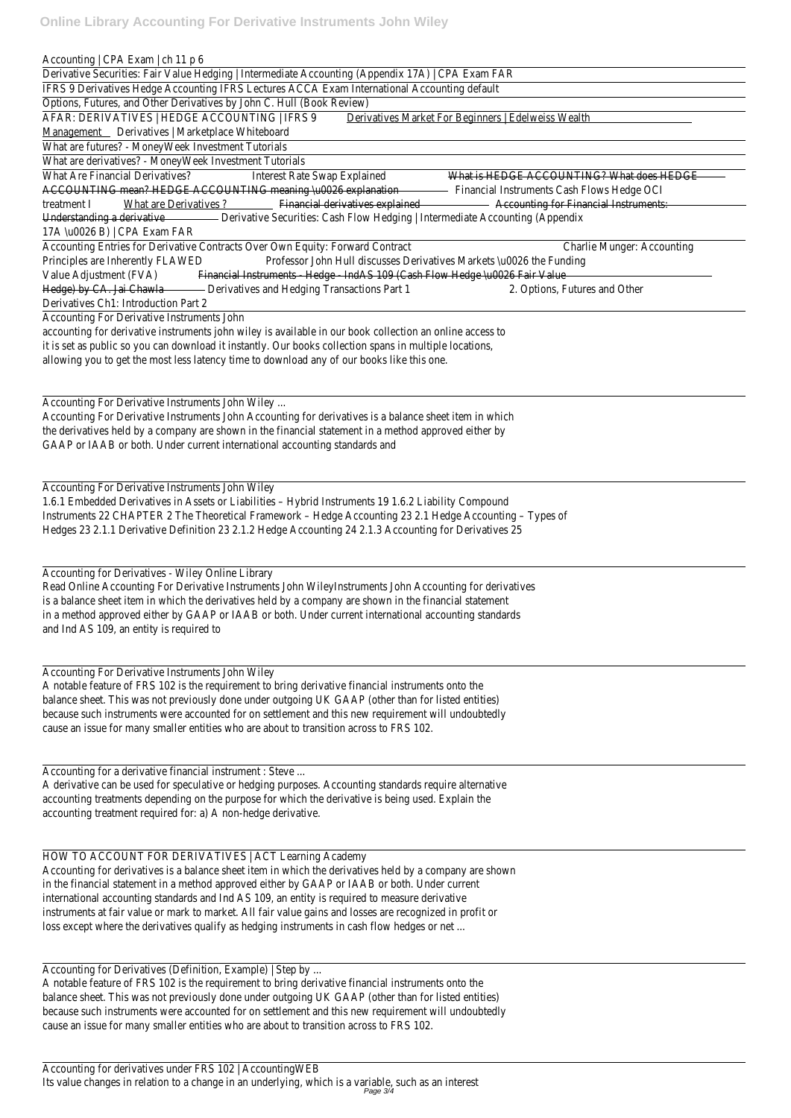Accounting | CPA Exam | ch 11 p 6

Derivative Securities: Fair Value Hedging | Intermediate Accounting (Appendix 17A) | CPA Exam FAR

IFRS 9 Derivatives Hedge Accounting IFRS Lectures ACCA Exam International Accounting default

Options, Futures, and Other Derivatives by John C. Hull (Book Review)

AFAR: DERIVATIVES | HEDGE ACCOUNTING | IFRS 9 Derivatives Market For Beginners | Edelweiss Wealth

Management Derivatives | Marketplace Whiteboard

What Are Financial Derivatives? Interest Rate Swap Explained What is HEDGE ACCOUNTING? What does HEDGE ACCOUNTING mean? HEDGE ACCOUNTING meaning \u0026 explanation Financial Instruments Cash Flows Hedge OCI treatment I What are Derivatives ? Financial derivatives explained **Accounting for Financial Instruments:** Understanding a derivative **Derivative Derivative Securities: Cash Flow Hedging | Intermediate Accounting (Appendix** 17A \u0026 B) | CPA Exam FAR

What are futures? - MoneyWeek Investment Tutorials

What are derivatives? - MoneyWeek Investment Tutorials

Accounting Entries for Derivative Contracts Over Own Equity: Forward Contract Charlie Munger: Accounting Principles are Inherently FLAWED Professor John Hull discusses Derivatives Markets \u0026 the Funding Value Adjustment (FVA) Financial Instruments - Hedge - IndAS 109 (Cash Flow Hedge \u0026 Fair Value Hedge) by CA. Jai Chawla - Derivatives and Hedging Transactions Part 1 2. Options, Futures and Other Derivatives Ch1: Introduction Part 2

Accounting For Derivative Instruments John

accounting for derivative instruments john wiley is available in our book collection an online access to it is set as public so you can download it instantly. Our books collection spans in multiple locations, allowing you to get the most less latency time to download any of our books like this one.

HOW TO ACCOUNT FOR DERIVATIVES | ACT Learning Academy Accounting for derivatives is a balance sheet item in which the derivatives held by a company are shown in the financial statement in a method approved either by GAAP or IAAB or both. Under current international accounting standards and Ind AS 109, an entity is required to measure derivative instruments at fair value or mark to market. All fair value gains and losses are recognized in profit or loss except where the derivatives qualify as hedging instruments in cash flow hedges or net ...

Accounting For Derivative Instruments John Wiley ...

Accounting For Derivative Instruments John Accounting for derivatives is a balance sheet item in which the derivatives held by a company are shown in the financial statement in a method approved either by GAAP or IAAB or both. Under current international accounting standards and

Accounting For Derivative Instruments John Wiley

1.6.1 Embedded Derivatives in Assets or Liabilities – Hybrid Instruments 19 1.6.2 Liability Compound Instruments 22 CHAPTER 2 The Theoretical Framework – Hedge Accounting 23 2.1 Hedge Accounting – Types of Hedges 23 2.1.1 Derivative Definition 23 2.1.2 Hedge Accounting 24 2.1.3 Accounting for Derivatives 25

Accounting for Derivatives - Wiley Online Library

Read Online Accounting For Derivative Instruments John WileyInstruments John Accounting for derivatives is a balance sheet item in which the derivatives held by a company are shown in the financial statement in a method approved either by GAAP or IAAB or both. Under current international accounting standards and Ind AS 109, an entity is required to

Accounting For Derivative Instruments John Wiley

A notable feature of FRS 102 is the requirement to bring derivative financial instruments onto the balance sheet. This was not previously done under outgoing UK GAAP (other than for listed entities) because such instruments were accounted for on settlement and this new requirement will undoubtedly cause an issue for many smaller entities who are about to transition across to FRS 102.

Accounting for a derivative financial instrument : Steve ... A derivative can be used for speculative or hedging purposes. Accounting standards require alternative accounting treatments depending on the purpose for which the derivative is being used. Explain the accounting treatment required for: a) A non-hedge derivative.

Accounting for Derivatives (Definition, Example) | Step by ...

A notable feature of FRS 102 is the requirement to bring derivative financial instruments onto the balance sheet. This was not previously done under outgoing UK GAAP (other than for listed entities) because such instruments were accounted for on settlement and this new requirement will undoubtedly cause an issue for many smaller entities who are about to transition across to FRS 102.

Accounting for derivatives under FRS 102 | AccountingWEB Its value changes in relation to a change in an underlying, which is a variable, such as an interest Page 3/4